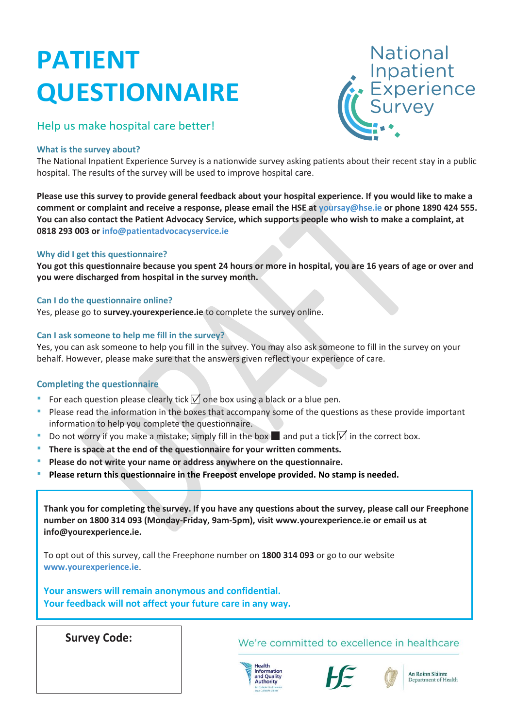# **PATIENT QUESTIONNAIRE**

## Help us make hospital care better!

#### **What is the survey about?**

The National Inpatient Experience Survey is a nationwide survey asking patients about their recent stay in a public hospital. The results of the survey will be used to improve hospital care.

**Please use this survey to provide general feedback about your hospital experience. If you would like to make a comment or complaint and receive a response, please email the HSE a[t yoursay@hse.ie](mailto:yoursay@hse.ie) or phone 1890 424 555. You can also contact the Patient Advocacy Service, which supports people who wish to make a complaint, at 0818 293 003 or [info@patientadvocacyservice.ie](mailto:info@patientadvocacyservice.ie)**

#### **Why did I get this questionnaire?**

**You got this questionnaire because you spent 24 hours or more in hospital, you are 16 years of age or over and you were discharged from hospital in the survey month.**

#### **Can I do the questionnaire online?**

Yes, please go to **survey.yourexperience.ie** to complete the survey online.

#### **Can I ask someone to help me fill in the survey?**

Yes, you can ask someone to help you fill in the survey. You may also ask someone to fill in the survey on your behalf. However, please make sure that the answers given reflect your experience of care.

#### **Completing the questionnaire**

- For each question please clearly tick  $\overline{V}$  one box using a black or a blue pen.
- **Please read the information in the boxes that accompany some of the questions as these provide important** information to help you complete the questionnaire.
- Do not worry if you make a mistake; simply fill in the box  $\blacksquare$  and put a tick  $\blacksquare$  in the correct box.
- **There is space at the end of the questionnaire for your written comments.**
- **Please do not write your name or address anywhere on the questionnaire.**
- **Please return this questionnaire in the Freepost envelope provided. No stamp is needed.**

**Thank you for completing the survey. If you have any questions about the survey, please call our Freephone number on 1800 314 093 (Monday-Friday, 9am-5pm), visit www.yourexperience.ie or email us at info@yourexperience.ie.** 

To opt out of this survey, call the Freephone number on **1800 314 093** or go to our website **[www.yourexperience.ie](http://www.yourexperience.ie/)**.

**Your answers will remain anonymous and confidential. Your feedback will not affect your future care in any way.**

#### **Survey Code:**

#### We're committed to excellence in healthcare







An Roinn Sláinte epartment of Health

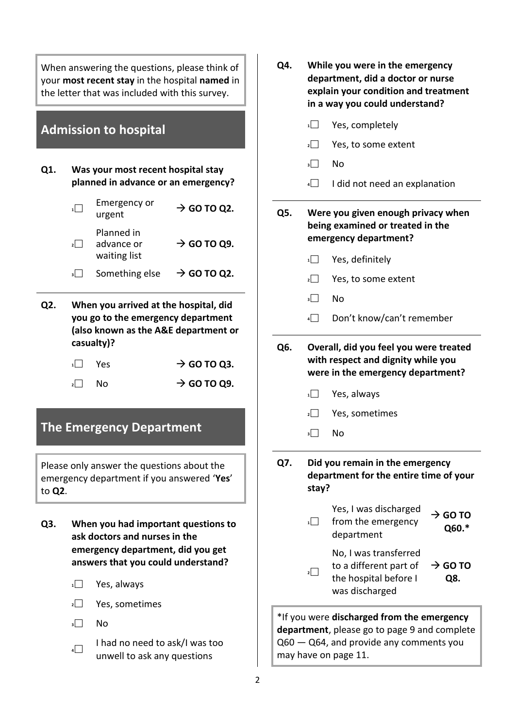| When answering the questions, please think of<br>your most recent stay in the hospital named in<br>the letter that was included with this survey. |                                                                             |                                                                                          |                         | Q4. |                                                           | While you were in the emergency<br>department, did a doctor or nurse<br>explain your condition and treatment<br>in a way you could understand? |                                                                                                        |  |
|---------------------------------------------------------------------------------------------------------------------------------------------------|-----------------------------------------------------------------------------|------------------------------------------------------------------------------------------|-------------------------|-----|-----------------------------------------------------------|------------------------------------------------------------------------------------------------------------------------------------------------|--------------------------------------------------------------------------------------------------------|--|
|                                                                                                                                                   |                                                                             | <b>Admission to hospital</b>                                                             |                         |     |                                                           | 1                                                                                                                                              | Yes, completely                                                                                        |  |
|                                                                                                                                                   |                                                                             |                                                                                          |                         |     |                                                           | $\overline{2}$                                                                                                                                 | Yes, to some extent                                                                                    |  |
| Q1.                                                                                                                                               |                                                                             | Was your most recent hospital stay<br>planned in advance or an emergency?                |                         |     |                                                           | 3<br>4                                                                                                                                         | No<br>I did not need an explanation                                                                    |  |
|                                                                                                                                                   | $\overline{1}$                                                              | Emergency or<br>urgent                                                                   | $\rightarrow$ GO TO Q2. |     | Q5.                                                       |                                                                                                                                                | Were you given enough privacy when                                                                     |  |
|                                                                                                                                                   | $\overline{2}$                                                              | Planned in<br>advance or<br>waiting list                                                 | $\rightarrow$ GO TO Q9. |     | being examined or treated in the<br>emergency department? |                                                                                                                                                |                                                                                                        |  |
|                                                                                                                                                   | $\overline{\phantom{a}}$                                                    | Something else                                                                           | $\rightarrow$ GO TO Q2. |     |                                                           | 1                                                                                                                                              | Yes, definitely                                                                                        |  |
|                                                                                                                                                   |                                                                             |                                                                                          |                         |     |                                                           | $\overline{2}$<br>$\overline{\phantom{a}}$                                                                                                     | Yes, to some extent<br><b>No</b>                                                                       |  |
| Q2.                                                                                                                                               | When you arrived at the hospital, did<br>you go to the emergency department |                                                                                          |                         |     |                                                           | 4                                                                                                                                              | Don't know/can't remember                                                                              |  |
|                                                                                                                                                   | $\overline{1}$                                                              | (also known as the A&E department or<br>casualty)?<br>Yes                                | $\rightarrow$ GO TO Q3. |     | Q6.                                                       | Overall, did you feel you were treated<br>with respect and dignity while you                                                                   |                                                                                                        |  |
|                                                                                                                                                   | $\overline{2}$                                                              | No                                                                                       | $\rightarrow$ GO TO Q9. |     |                                                           |                                                                                                                                                | were in the emergency department?                                                                      |  |
|                                                                                                                                                   |                                                                             |                                                                                          |                         |     |                                                           | 1                                                                                                                                              | Yes, always                                                                                            |  |
|                                                                                                                                                   |                                                                             | <b>The Emergency Department</b>                                                          |                         |     |                                                           | $2$                                                                                                                                            | Yes, sometimes                                                                                         |  |
|                                                                                                                                                   |                                                                             |                                                                                          |                         |     |                                                           | 3                                                                                                                                              | No                                                                                                     |  |
| to Q2.                                                                                                                                            |                                                                             | Please only answer the questions about the<br>emergency department if you answered 'Yes' |                         |     | Q7.                                                       | stay?                                                                                                                                          | Did you remain in the emergency<br>department for the entire time of your                              |  |
| Q <sub>3</sub> .                                                                                                                                  | When you had important questions to<br>ask doctors and nurses in the        |                                                                                          |                         |     |                                                           | 1                                                                                                                                              | Yes, I was discharged<br>$\rightarrow$ GO TO<br>from the emergency<br>Q60.*<br>department              |  |
|                                                                                                                                                   |                                                                             | emergency department, did you get<br>answers that you could understand?                  |                         |     |                                                           | $\overline{2}$                                                                                                                                 | No, I was transferred<br>to a different part of<br>$\rightarrow$ GO TO<br>the hospital before I<br>Q8. |  |
|                                                                                                                                                   | 1                                                                           | Yes, always                                                                              |                         |     |                                                           |                                                                                                                                                | was discharged                                                                                         |  |
|                                                                                                                                                   | 2                                                                           | Yes, sometimes                                                                           |                         |     |                                                           |                                                                                                                                                | *If you were discharged from the emergency                                                             |  |
|                                                                                                                                                   | 3                                                                           | No                                                                                       |                         |     |                                                           |                                                                                                                                                | department, please go to page 9 and complete                                                           |  |
|                                                                                                                                                   | $4\Box$                                                                     | I had no need to ask/I was too<br>unwell to ask any questions                            |                         |     |                                                           |                                                                                                                                                | Q60 - Q64, and provide any comments you<br>may have on page 11.                                        |  |
|                                                                                                                                                   |                                                                             |                                                                                          |                         | 2   |                                                           |                                                                                                                                                |                                                                                                        |  |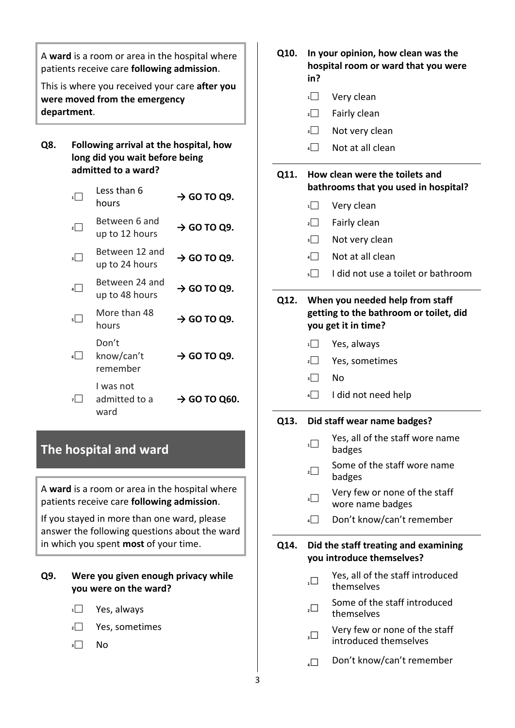A **ward** is a room or area in the hospital where patients receive care **following admission**.

This is where you received your care **after you were moved from the emergency department**.

**Q8. Following arrival at the hospital, how long did you wait before being admitted to a ward?**

| $\sqrt{1}$              | Less than 6<br>hours               | $\rightarrow$ GO TO Q9.  |
|-------------------------|------------------------------------|--------------------------|
| $\sqrt{2}$              | Between 6 and<br>up to 12 hours    | $\rightarrow$ GO TO Q9.  |
| $\overline{\mathbf{E}}$ | Between 12 and<br>up to 24 hours   | $\rightarrow$ GO TO Q9.  |
| الم                     | Between 24 and<br>up to 48 hours   | $\rightarrow$ GO TO Q9.  |
| $\overline{\mathsf{S}}$ | More than 48<br>hours              | $\rightarrow$ GO TO Q9.  |
| ا اه                    | Don't<br>know/can't<br>remember    | $\rightarrow$ GO TO Q9.  |
|                         | I was not<br>admitted to a<br>ward | $\rightarrow$ GO TO Q60. |

# **The hospital and ward**

A **ward** is a room or area in the hospital where patients receive care **following admission**.

If you stayed in more than one ward, please answer the following questions about the ward in which you spent **most** of your time.

#### **Q9. Were you given enough privacy while you were on the ward?**

- **<sup>1</sup>** Yes, always
- **<sup>2</sup>** Yes, sometimes
- **<sup>3</sup>** No
- **Q10. In your opinion, how clean was the hospital room or ward that you were in?**
	- **<sup>1</sup>** Very clean
	- **<sup>2</sup>** Fairly clean
	- **3** Not very clean
	- **<sup>4</sup>** Not at all clean

#### **Q11. How clean were the toilets and bathrooms that you used in hospital?**

- **<sup>1</sup>** Very clean
- **<sup>2</sup>** Fairly clean
- **<sup>3</sup>** Not very clean
- **<sup>4</sup>** Not at all clean
- **5** I did not use a toilet or bathroom

#### **Q12. When you needed help from staff getting to the bathroom or toilet, did you get it in time?**

- **<sup>1</sup>** Yes, always
- **<sup>2</sup>** Yes, sometimes
- **<sup>3</sup>** No
	- **<sup>4</sup>** I did not need help

#### **Q13. Did staff wear name badges?**

- **1** Yes, all of the staff wore name badges
- **2** Some of the staff wore name badges
- **<sup>3</sup>** Very few or none of the staff wore name badges
- **<sup>4</sup>** Don't know/can't remember

#### **Q14. Did the staff treating and examining you introduce themselves?**

- **1□** Yes, all of the staff introduced themselves
- **2□** Some of the staff introduced themselves
- **3□** Very few or none of the staff introduced themselves
- **<sup>4</sup>□** <sup>D</sup>on't know/can't remember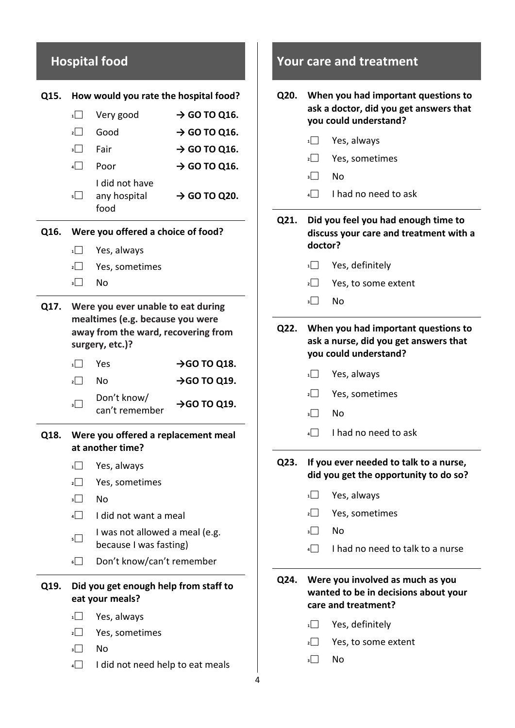|      |                                                            | <b>Hospital food</b>                                                                                                                                                                                             |                                                                                                                                          |           |                                                                          | Your care and treatment                                                                                                                                                            |
|------|------------------------------------------------------------|------------------------------------------------------------------------------------------------------------------------------------------------------------------------------------------------------------------|------------------------------------------------------------------------------------------------------------------------------------------|-----------|--------------------------------------------------------------------------|------------------------------------------------------------------------------------------------------------------------------------------------------------------------------------|
| Q15. | $\overline{1}$<br>$\sqrt{2}$<br>3<br>$\sqrt{4}$<br>$5\Box$ | How would you rate the hospital food?<br>Very good<br>Good<br>Fair<br>Poor<br>I did not have<br>any hospital<br>food                                                                                             | $\rightarrow$ GO TO Q16.<br>$\rightarrow$ GO TO Q16.<br>$\rightarrow$ GO TO Q16.<br>$\rightarrow$ GO TO Q16.<br>$\rightarrow$ GO TO Q20. | Q20.      | $\mathbf{1}$<br>$\overline{2}$<br>$\overline{\phantom{a}}$<br>$\sqrt{ }$ | When you had important questions to<br>ask a doctor, did you get answers that<br>you could understand?<br>Yes, always<br>Yes, sometimes<br><b>No</b><br>I had no need to ask       |
| Q16. | $\overline{1}$<br>$\overline{2}$<br>3                      | Were you offered a choice of food?<br>Yes, always<br>Yes, sometimes<br><b>No</b>                                                                                                                                 |                                                                                                                                          | Q21.      | $\mathbf{1}$<br>$\vert$  <br>$\overline{\phantom{a}}$                    | Did you feel you had enough time to<br>discuss your care and treatment with a<br>doctor?<br>Yes, definitely<br>Yes, to some extent<br>No                                           |
| Q17. | 1<br>$\sqrt{2}$<br>3                                       | Were you ever unable to eat during<br>mealtimes (e.g. because you were<br>away from the ward, recovering from<br>surgery, etc.)?<br>Yes<br>No<br>Don't know/<br>can't remember                                   | $\rightarrow$ GO TO Q18.<br>$\rightarrow$ GO TO Q19.<br>$\rightarrow$ GO TO Q19.                                                         | Q22.      | 1<br>$\overline{2}$<br>$\vert$ $\vert$                                   | When you had important questions to<br>ask a nurse, did you get answers that<br>you could understand?<br>Yes, always<br>Yes, sometimes<br>No                                       |
| Q18. | 1<br>$\overline{2}$<br>3<br>4<br>5<br>$6\Box$              | Were you offered a replacement meal<br>at another time?<br>Yes, always<br>Yes, sometimes<br>No<br>I did not want a meal<br>I was not allowed a meal (e.g.<br>because I was fasting)<br>Don't know/can't remember |                                                                                                                                          | Q23.      | 4  <br>1<br>2<br>3<br>4                                                  | I had no need to ask<br>If you ever needed to talk to a nurse,<br>did you get the opportunity to do so?<br>Yes, always<br>Yes, sometimes<br>No<br>I had no need to talk to a nurse |
| Q19. | 1<br>$\mathbf{2}$<br>3<br>4                                | Did you get enough help from staff to<br>eat your meals?<br>Yes, always<br>Yes, sometimes<br>No<br>I did not need help to eat meals                                                                              |                                                                                                                                          | Q24.<br>4 | 1<br>$\vert$  <br>3                                                      | Were you involved as much as you<br>wanted to be in decisions about your<br>care and treatment?<br>Yes, definitely<br>Yes, to some extent<br>No                                    |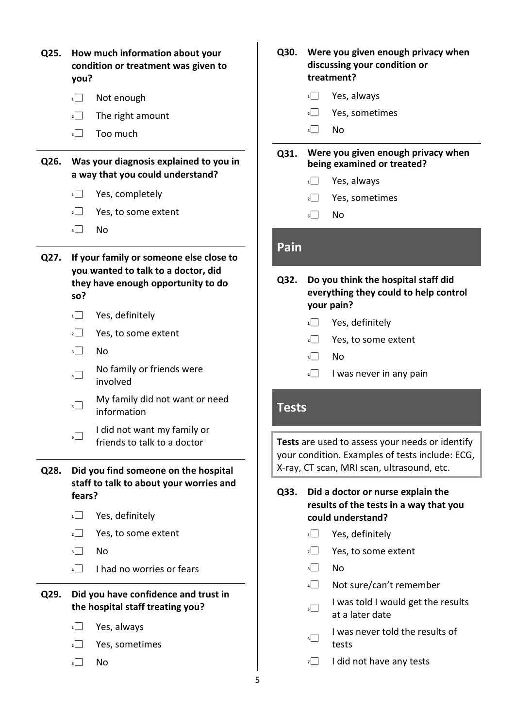| Q25. | How much information about your<br>condition or treatment was given to<br>you?                                              | Q30.         | Were you g<br>discussing y<br>treatment?   |
|------|-----------------------------------------------------------------------------------------------------------------------------|--------------|--------------------------------------------|
|      | 1<br>Not enough                                                                                                             |              | Yes, a<br>1                                |
|      | $\overline{2}$<br>The right amount                                                                                          |              | $\overline{2}$<br>Yes, s                   |
|      | Too much<br>3                                                                                                               |              | $\overline{\phantom{a}}$<br>No.            |
| Q26. | Was your diagnosis explained to you in<br>a way that you could understand?                                                  | Q31.         | Were you g<br>being exam<br>1<br>Yes, a    |
|      | Yes, completely<br>$1 \mid$                                                                                                 |              | Yes, s<br>$2$                              |
|      | $\overline{2}$<br>Yes, to some extent                                                                                       |              | No<br>$\vert$                              |
|      | <b>No</b><br>$\vert$                                                                                                        |              |                                            |
| Q27. | If your family or someone else close to<br>you wanted to talk to a doctor, did<br>they have enough opportunity to do<br>so? | Pain<br>Q32. | Do you thin<br>everything                  |
|      | 1<br>Yes, definitely                                                                                                        |              | your pain?                                 |
|      | $\overline{2}$<br>Yes, to some extent                                                                                       |              | Yes, d<br>1                                |
|      | $\overline{\phantom{0}}$<br>No                                                                                              |              | $\overline{2}$<br>Yes, to<br>No            |
|      | No family or friends were<br>4<br>involved                                                                                  |              | 3<br>4<br>I was                            |
|      | My family did not want or need<br>$\vert$<br>information                                                                    | <b>Tests</b> |                                            |
|      | I did not want my family or<br>$\mathbf{6}$<br>friends to talk to a doctor                                                  |              | Tests are used to a<br>your condition. Exa |
| Q28. | Did you find someone on the hospital<br>staff to talk to about your worries and<br>fears?                                   | Q33.         | X-ray, CT scan, MRI<br>Did a docto         |
|      | Yes, definitely<br>$1 \mid$                                                                                                 |              | results of th<br>could under               |
|      | $2$  <br>Yes, to some extent                                                                                                |              | Yes, d<br>$\sqrt{1}$                       |
|      | <b>No</b><br>$  \cdot  $                                                                                                    |              | Yes, to<br>2 I                             |
|      | I had no worries or fears<br>$\vert$ $\vert$                                                                                |              | No<br>3                                    |
|      |                                                                                                                             |              | 4<br>Not su                                |
| Q29. | Did you have confidence and trust in<br>the hospital staff treating you?                                                    |              | I was<br>5<br>at a la                      |
|      | $\overline{1}$<br>Yes, always                                                                                               |              | I was                                      |
|      | Yes, sometimes<br>$2$                                                                                                       |              | $\left  \right $<br>tests                  |
|      | No<br>3                                                                                                                     |              | I did r<br>7                               |

- **Q30. Were you given enough privacy when discussing your condition or** 
	- **<sup>1</sup>** Yes, always
	- **<sup>2</sup>** Yes, sometimes
- **Q31. Were you given enough privacy when bined or treated?** 
	- **<sup>1</sup>** Yes, always
	- **<sup>2</sup>** Yes, sometimes
- **Q32. Do you think the hospital staff did everything they could to help control** 
	- **<sup>1</sup>** Yes, definitely
	- **2** Some extent
	- never in any pain

**Tests is also your needs or identify** amples of tests include: ECG, I scan, ultrasound, etc.

**Q33. Did a doctor or nurse explain the results of the tests in a way that you**  cound?

- **<sup>1</sup>** Yes, definitely
- **2** Some extent
- ure/can't remember
- told I would get the results ater date
- never told the results of
- *not have any tests*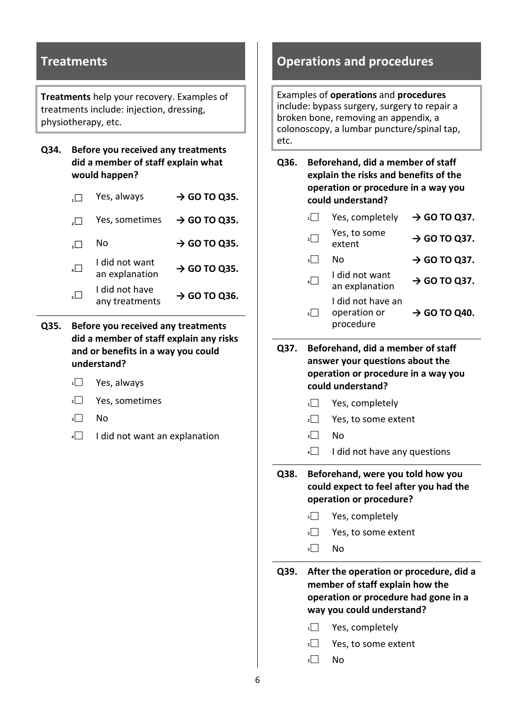## **Treatments**

**Treatments** help your recovery. Examples of treatments include: injection, dressing, physiotherapy, etc.

**Q34. Before you received any treatments did a member of staff explain what would happen?**

| ك.   | Yes, always                      | $\rightarrow$ GO TO Q35. |
|------|----------------------------------|--------------------------|
| ا اد | Yes, sometimes                   | $\rightarrow$ GO TO Q35. |
| الہ  | N٥                               | $\rightarrow$ GO TO Q35. |
| الم  | I did not want<br>an explanation | $\rightarrow$ GO TO Q35. |
| الع  | I did not have<br>any treatments | $\rightarrow$ GO TO Q36. |
|      |                                  |                          |

- **Q35. Before you received any treatments did a member of staff explain any risks and or benefits in a way you could understand?**
	- **<sup>1</sup>** Yes, always
	- **<sup>2</sup>** Yes, sometimes
	- **<sup>3</sup>** No
	- **4 I** did not want an explanation

# **Operations and procedures**

Examples of **operations** and **procedures**  include: bypass surgery, surgery to repair a broken bone, removing an appendix, a colonoscopy, a lumbar puncture/spinal tap, etc.

| Q36. | Beforehand, did a member of staff<br>explain the risks and benefits of the<br>operation or procedure in a way you<br>could understand? |                                                |                          |  |  |  |
|------|----------------------------------------------------------------------------------------------------------------------------------------|------------------------------------------------|--------------------------|--|--|--|
|      |                                                                                                                                        | Yes, completely                                | $\rightarrow$ GO TO Q37. |  |  |  |
|      | $\mathbf{2}$                                                                                                                           | Yes, to some<br>extent                         | $\rightarrow$ GO TO Q37. |  |  |  |
|      | з і                                                                                                                                    | N٥                                             | $\rightarrow$ GO TO Q37. |  |  |  |
|      | 4                                                                                                                                      | I did not want<br>an explanation               | $\rightarrow$ GO TO Q37. |  |  |  |
|      | 5                                                                                                                                      | I did not have an<br>operation or<br>procedure | $\rightarrow$ GO TO Q40. |  |  |  |

**Q37. Beforehand, did a member of staff answer your questions about the operation or procedure in a way you could understand?**

- 1<sup>1</sup> Yes, completely
- 2□ Yes, to some extent
- **<sup>3</sup>** No
- **4 I** did not have any questions

**Q38. Beforehand, were you told how you could expect to feel after you had the operation or procedure?**

- 1<sup>1</sup> Yes, completely
- **2** Yes, to some extent
- **<sup>3</sup>** No

**Q39. After the operation or procedure, did a member of staff explain how the operation or procedure had gone in a way you could understand?**

- 1<sup>1</sup> Yes, completely
- **2** Yes, to some extent
- **<sup>3</sup>** No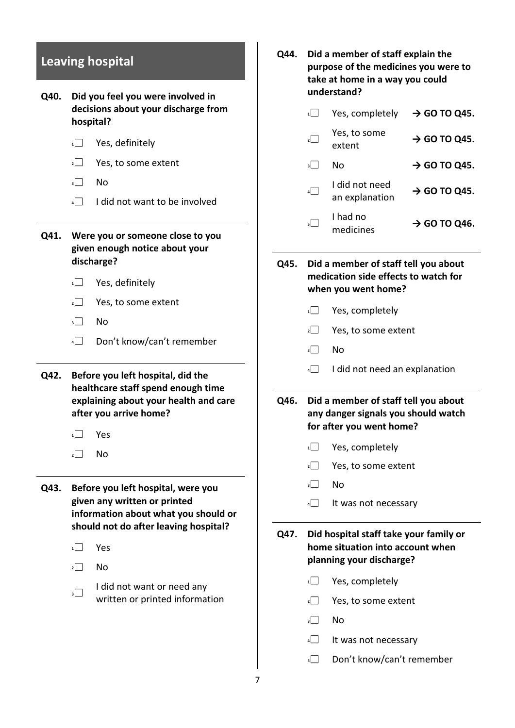| <b>Leaving hospital</b><br>Did you feel you were involved in |                                                                               | Q44.                                                                    | Did a member of staff explain the<br>purpose of the medicines you were to<br>take at home in a way you could<br>understand? |                                            |                                                                             |                          |
|--------------------------------------------------------------|-------------------------------------------------------------------------------|-------------------------------------------------------------------------|-----------------------------------------------------------------------------------------------------------------------------|--------------------------------------------|-----------------------------------------------------------------------------|--------------------------|
| Q40.                                                         | decisions about your discharge from<br>hospital?                              |                                                                         | $\overline{1}$                                                                                                              | Yes, completely                            | $\rightarrow$ GO TO Q45.                                                    |                          |
|                                                              | $\overline{1}$                                                                | Yes, definitely                                                         |                                                                                                                             | $\overline{2}$                             | Yes, to some<br>extent                                                      | $\rightarrow$ GO TO Q45. |
|                                                              | $\overline{2}$                                                                | Yes, to some extent                                                     |                                                                                                                             | 3                                          | No                                                                          | $\rightarrow$ GO TO Q45. |
|                                                              | 3<br>No                                                                       |                                                                         |                                                                                                                             | 4                                          | I did not need                                                              | $\rightarrow$ GO TO Q45. |
|                                                              | $4\Box$                                                                       | I did not want to be involved                                           |                                                                                                                             |                                            | an explanation                                                              |                          |
| Q41.                                                         |                                                                               | Were you or someone close to you<br>given enough notice about your      |                                                                                                                             | $\sqrt{5}$                                 | I had no<br>medicines                                                       | $\rightarrow$ GO TO Q46. |
|                                                              | discharge?                                                                    |                                                                         | Q45.                                                                                                                        |                                            | Did a member of staff tell you about                                        |                          |
|                                                              | $\mathbf{1}$                                                                  | Yes, definitely                                                         |                                                                                                                             |                                            | medication side effects to watch for<br>when you went home?                 |                          |
|                                                              | $\overline{2}$                                                                | Yes, to some extent                                                     |                                                                                                                             | 1                                          | Yes, completely                                                             |                          |
|                                                              | $\overline{\phantom{a}}$<br>No                                                |                                                                         |                                                                                                                             | 2                                          | Yes, to some extent                                                         |                          |
|                                                              | 4                                                                             | Don't know/can't remember                                               |                                                                                                                             | 3                                          | No                                                                          |                          |
| Q42.                                                         |                                                                               | Before you left hospital, did the<br>healthcare staff spend enough time |                                                                                                                             | 4                                          | I did not need an explanation                                               |                          |
|                                                              |                                                                               | explaining about your health and care<br>after you arrive home?         | Q46.                                                                                                                        |                                            | Did a member of staff tell you about<br>any danger signals you should watch |                          |
|                                                              | $1$ $\Box$<br>Yes                                                             |                                                                         |                                                                                                                             |                                            | for after you went home?                                                    |                          |
|                                                              | $\overline{2}$<br>No                                                          |                                                                         |                                                                                                                             | 1                                          | Yes, completely                                                             |                          |
|                                                              |                                                                               |                                                                         |                                                                                                                             | $\overline{2}$<br>$\overline{\phantom{a}}$ | Yes, to some extent<br>No                                                   |                          |
| Q43.                                                         |                                                                               | Before you left hospital, were you<br>given any written or printed      |                                                                                                                             | $\vert$                                    | It was not necessary                                                        |                          |
|                                                              | information about what you should or<br>should not do after leaving hospital? |                                                                         |                                                                                                                             |                                            |                                                                             |                          |
|                                                              |                                                                               |                                                                         | Q47.                                                                                                                        |                                            | Did hospital staff take your family or                                      |                          |
|                                                              | $1$ $\Box$<br>Yes                                                             |                                                                         |                                                                                                                             |                                            | home situation into account when<br>planning your discharge?                |                          |
|                                                              | $\overline{2}$<br>No                                                          |                                                                         |                                                                                                                             | 1                                          | Yes, completely                                                             |                          |
|                                                              | 3                                                                             | I did not want or need any<br>written or printed information            |                                                                                                                             | $\overline{2}$                             | Yes, to some extent                                                         |                          |
|                                                              |                                                                               |                                                                         |                                                                                                                             | $\overline{\phantom{a}}$                   | No                                                                          |                          |
|                                                              |                                                                               |                                                                         |                                                                                                                             | 4                                          | It was not necessary                                                        |                          |
|                                                              |                                                                               |                                                                         |                                                                                                                             | $\overline{\phantom{a}}$                   | Don't know/can't remember                                                   |                          |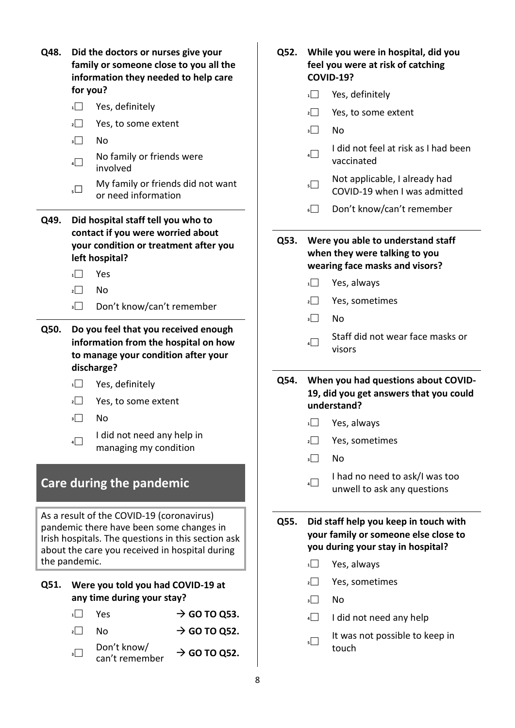| Q48.          | Did the doctors or nurses give your<br>family or someone close to you all the<br>information they needed to help care<br>for you? |                                                                                                                                                                                               |                          | Q52. |                          | While you were in hospital, did you<br>feel you were at risk of catching<br><b>COVID-19?</b><br>$\overline{1}$<br>Yes, definitely |  |  |
|---------------|-----------------------------------------------------------------------------------------------------------------------------------|-----------------------------------------------------------------------------------------------------------------------------------------------------------------------------------------------|--------------------------|------|--------------------------|-----------------------------------------------------------------------------------------------------------------------------------|--|--|
|               | 1                                                                                                                                 | Yes, definitely                                                                                                                                                                               |                          |      | $\overline{2}$           | Yes, to some extent                                                                                                               |  |  |
|               | $\vert$                                                                                                                           | Yes, to some extent                                                                                                                                                                           |                          |      | $\overline{\phantom{a}}$ | No                                                                                                                                |  |  |
|               | $\overline{\phantom{a}}$                                                                                                          | No                                                                                                                                                                                            |                          |      |                          |                                                                                                                                   |  |  |
|               | $4\Box$                                                                                                                           | No family or friends were<br>involved                                                                                                                                                         |                          |      | 4                        | I did not feel at risk as I had been<br>vaccinated                                                                                |  |  |
|               | $\overline{\phantom{a}}$                                                                                                          | My family or friends did not want<br>or need information                                                                                                                                      |                          |      | $5\Box$                  | Not applicable, I already had<br>COVID-19 when I was admitted                                                                     |  |  |
| Q49.          |                                                                                                                                   | Did hospital staff tell you who to<br>contact if you were worried about                                                                                                                       |                          |      | 6                        | Don't know/can't remember                                                                                                         |  |  |
|               |                                                                                                                                   | your condition or treatment after you<br>left hospital?                                                                                                                                       |                          | Q53. |                          | Were you able to understand staff<br>when they were talking to you<br>wearing face masks and visors?                              |  |  |
|               | 1                                                                                                                                 | Yes                                                                                                                                                                                           |                          |      | $\mathbf{1}$             | Yes, always                                                                                                                       |  |  |
|               | $2\sqrt{ }$                                                                                                                       | No                                                                                                                                                                                            |                          |      | $\overline{2}$           | Yes, sometimes                                                                                                                    |  |  |
|               | 3                                                                                                                                 | Don't know/can't remember                                                                                                                                                                     |                          |      | 3                        | No                                                                                                                                |  |  |
| Q50.          |                                                                                                                                   | Do you feel that you received enough<br>information from the hospital on how<br>to manage your condition after your<br>discharge?                                                             |                          |      | 4                        | Staff did not wear face masks or<br>visors                                                                                        |  |  |
|               | 1                                                                                                                                 | Yes, definitely                                                                                                                                                                               |                          | Q54. |                          | When you had questions about COVID-                                                                                               |  |  |
|               | $2$                                                                                                                               | Yes, to some extent                                                                                                                                                                           |                          |      |                          | 19, did you get answers that you could<br>understand?                                                                             |  |  |
|               | 3                                                                                                                                 | No                                                                                                                                                                                            |                          |      | 1                        | Yes, always                                                                                                                       |  |  |
|               | 4                                                                                                                                 | I did not need any help in                                                                                                                                                                    |                          |      | $\overline{2}$           | Yes, sometimes                                                                                                                    |  |  |
|               |                                                                                                                                   | managing my condition                                                                                                                                                                         |                          |      | 3                        | No                                                                                                                                |  |  |
|               |                                                                                                                                   | <b>Care during the pandemic</b>                                                                                                                                                               |                          |      | 4                        | I had no need to ask/I was too<br>unwell to ask any questions                                                                     |  |  |
|               |                                                                                                                                   | As a result of the COVID-19 (coronavirus)<br>pandemic there have been some changes in<br>Irish hospitals. The questions in this section ask<br>about the care you received in hospital during |                          | Q55. |                          | Did staff help you keep in touch with<br>your family or someone else close to<br>you during your stay in hospital?                |  |  |
| the pandemic. |                                                                                                                                   |                                                                                                                                                                                               |                          |      | 1                        | Yes, always                                                                                                                       |  |  |
| Q51.          |                                                                                                                                   | Were you told you had COVID-19 at                                                                                                                                                             |                          |      | $\overline{2}$           | Yes, sometimes                                                                                                                    |  |  |
|               |                                                                                                                                   | any time during your stay?                                                                                                                                                                    |                          |      | $\overline{\phantom{a}}$ | <b>No</b>                                                                                                                         |  |  |
|               | 1                                                                                                                                 | Yes                                                                                                                                                                                           | $\rightarrow$ GO TO Q53. |      | 4                        | I did not need any help                                                                                                           |  |  |
|               | $\overline{2}$                                                                                                                    | No                                                                                                                                                                                            | $\rightarrow$ GO TO Q52. |      | 5                        | It was not possible to keep in                                                                                                    |  |  |
|               | 3                                                                                                                                 | Don't know/<br>can't remember                                                                                                                                                                 | $\rightarrow$ GO TO Q52. |      |                          | touch                                                                                                                             |  |  |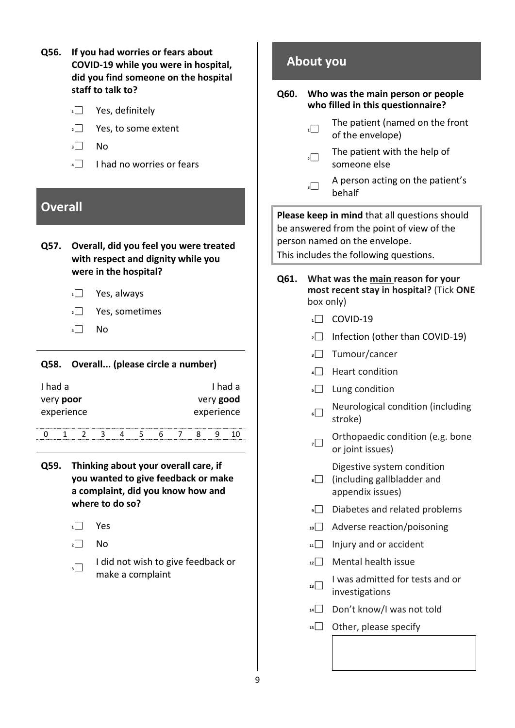| Q56. If you had worries or fears about |
|----------------------------------------|
| COVID-19 while you were in hospital,   |
| did you find someone on the hospital   |
| staff to talk to?                      |

- 1<sup>1</sup> Yes, definitely **2** Yes, to some extent **<sup>3</sup>** No **4** I had no worries or fears **Overall Q57. Overall, did you feel you were treated with respect and dignity while you were in the hospital? <sup>1</sup>** Yes, always **<sup>2</sup>** Yes, sometimes **<sup>3</sup>** No **Q58. Overall... (please circle a number)** I had a very **poor**  experience I had a very **good**  experience 0 1 2 3 4 5 6 7 8 9 10 **Q59. Thinking about your overall care, if you wanted to give feedback or make a complaint, did you know how and where to do so?**
	- **<sup>1</sup>** Yes
	- $2 \Box$  No



# **About you**

#### **Q60. Who was the main person or people who filled in this questionnaire?**

- **1** The patient (named on the front of the envelope)
- **2** The patient with the help of someone else
- **<sup>3</sup>** A person acting on the patient's behalf

**Please keep in mind** that all questions should be answered from the point of view of the person named on the envelope.

This includes the following questions.

- **Q61. What was the main reason for your most recent stay in hospital?** (Tick **ONE**  box only)
	- **<sup>1</sup>** COVID-19
	- **2** Infection (other than COVID-19)
	- **<sup>3</sup>** Tumour/cancer
	- **<sup>4</sup>** Heart condition
	- **<sup>5</sup>** Lung condition
	- **<sup>6</sup>** Neurological condition (including stroke)
	- **<sup>7</sup>** Orthopaedic condition (e.g. bone or joint issues)

Digestive system condition

- **<sup>8</sup>** (including gallbladder and appendix issues)
- **P** Diabetes and related problems
- **10** Adverse reaction/poisoning
- **11** Injury and or accident
- **<sup>12</sup>** Mental health issue
- $\overline{\phantom{a}}$  13 I was admitted for tests and or investigations
- 14<sup>1</sup> Don't know/I was not told
- **<sup>15</sup>** Other, please specify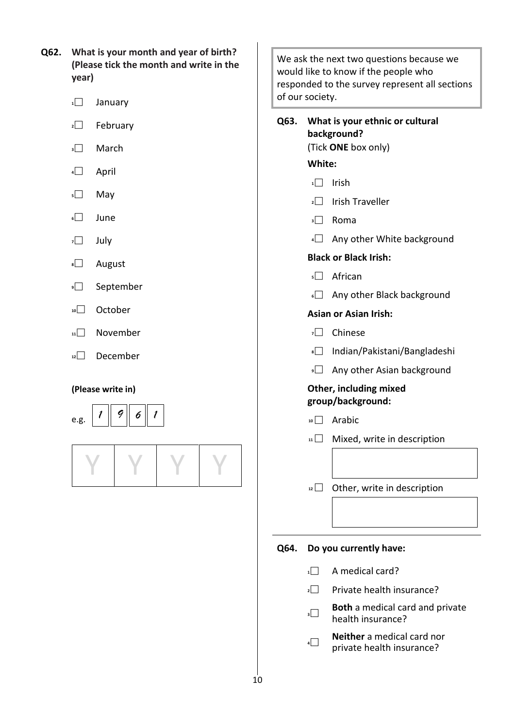- **Q62. What is your month and year of birth? (Please tick the month and write in the year)** 
	- **<sup>1</sup>** January
	- **<sup>2</sup>** February
	- **<sup>3</sup>** March
	- **<sup>4</sup>** April
	- **<sup>5</sup>** May
	- **<sup>6</sup>** June
	- **<sup>7</sup>** July
	- **<sup>8</sup>** August
	- **<sup>9</sup>** September
	- **<sup>10</sup>** October
	- **<sup>11</sup>** November
	- **<sup>12</sup>** December

#### **(Please write in)**





We ask the next two questions because we would like to know if the people who responded to the survey represent all sections of our society.

| Q63. | What is your ethnic or cultural<br>background?<br>(Tick ONE box only) |                              |  |  |  |  |  |  |
|------|-----------------------------------------------------------------------|------------------------------|--|--|--|--|--|--|
|      | White:                                                                |                              |  |  |  |  |  |  |
|      | <b>Irish</b><br>1I<br>$\mathbf{L}$                                    |                              |  |  |  |  |  |  |
|      | $\sqrt{2}$ Irish Traveller                                            |                              |  |  |  |  |  |  |
|      | ။ Roma                                                                |                              |  |  |  |  |  |  |
|      | 4                                                                     | Any other White background   |  |  |  |  |  |  |
|      | <b>Black or Black Irish:</b>                                          |                              |  |  |  |  |  |  |
|      | African<br>5 I                                                        |                              |  |  |  |  |  |  |
|      | $\begin{array}{c c c c} \hline \end{array}$                           | Any other Black background   |  |  |  |  |  |  |
|      | <b>Asian or Asian Irish:</b>                                          |                              |  |  |  |  |  |  |
|      | Chinese<br>7l<br>$\mathbb{R}^n$                                       |                              |  |  |  |  |  |  |
|      | $\overline{\phantom{a}}$                                              | Indian/Pakistani/Bangladeshi |  |  |  |  |  |  |
|      | و                                                                     | Any other Asian background   |  |  |  |  |  |  |
|      | group/background:                                                     | Other, including mixed       |  |  |  |  |  |  |
|      | $10$ Arabic                                                           |                              |  |  |  |  |  |  |
|      | 11                                                                    | Mixed, write in description  |  |  |  |  |  |  |
|      |                                                                       |                              |  |  |  |  |  |  |
|      | $12 \Box$                                                             | Other, write in description  |  |  |  |  |  |  |
|      |                                                                       |                              |  |  |  |  |  |  |

#### **Q64. Do you currently have:**

- 1<sup>1</sup> A medical card?
- **2** Private health insurance?
- **<sup>3</sup> Both** a medical card and private health insurance?
- **<sup>4</sup> Neither** a medical card nor private health insurance?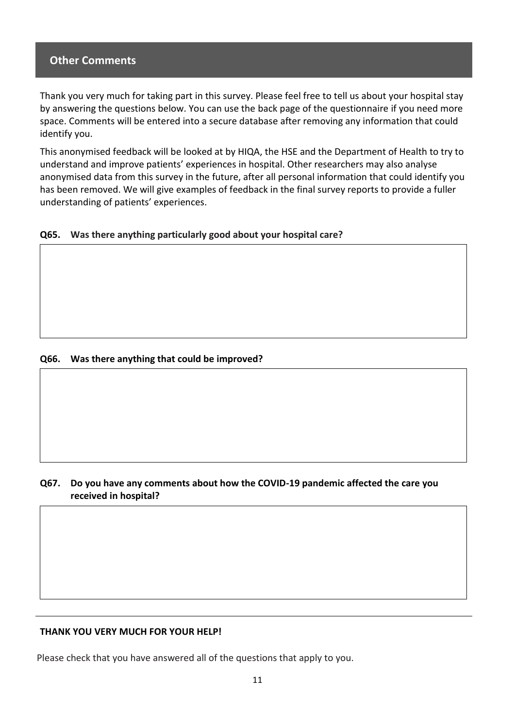#### **Other Comments**

Thank you very much for taking part in this survey. Please feel free to tell us about your hospital stay by answering the questions below. You can use the back page of the questionnaire if you need more space. Comments will be entered into a secure database after removing any information that could identify you.

This anonymised feedback will be looked at by HIQA, the HSE and the Department of Health to try to understand and improve patients' experiences in hospital. Other researchers may also analyse anonymised data from this survey in the future, after all personal information that could identify you has been removed. We will give examples of feedback in the final survey reports to provide a fuller understanding of patients' experiences.

#### **Q65. Was there anything particularly good about your hospital care?**

#### **Q66. Was there anything that could be improved?**

#### **Q67. Do you have any comments about how the COVID-19 pandemic affected the care you received in hospital?**

#### **THANK YOU VERY MUCH FOR YOUR HELP!**

Please check that you have answered all of the questions that apply to you.